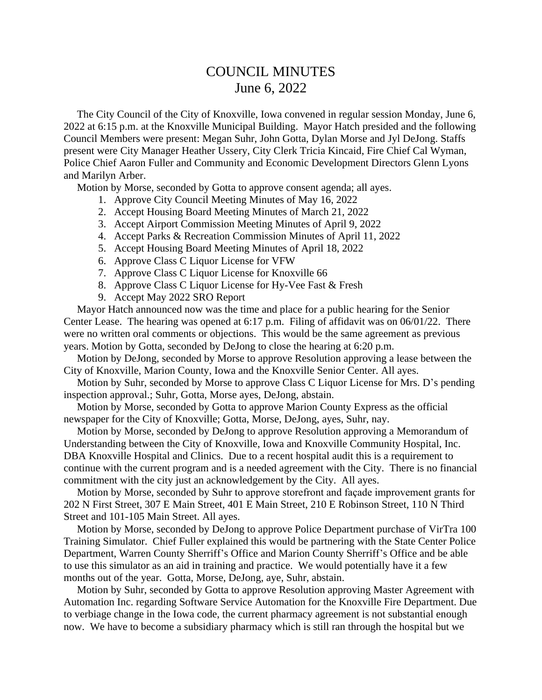## COUNCIL MINUTES June 6, 2022

 The City Council of the City of Knoxville, Iowa convened in regular session Monday, June 6, 2022 at 6:15 p.m. at the Knoxville Municipal Building. Mayor Hatch presided and the following Council Members were present: Megan Suhr, John Gotta, Dylan Morse and Jyl DeJong. Staffs present were City Manager Heather Ussery, City Clerk Tricia Kincaid, Fire Chief Cal Wyman, Police Chief Aaron Fuller and Community and Economic Development Directors Glenn Lyons and Marilyn Arber.

Motion by Morse, seconded by Gotta to approve consent agenda; all ayes.

- 1. Approve City Council Meeting Minutes of May 16, 2022
- 2. Accept Housing Board Meeting Minutes of March 21, 2022
- 3. Accept Airport Commission Meeting Minutes of April 9, 2022
- 4. Accept Parks & Recreation Commission Minutes of April 11, 2022
- 5. Accept Housing Board Meeting Minutes of April 18, 2022
- 6. Approve Class C Liquor License for VFW
- 7. Approve Class C Liquor License for Knoxville 66
- 8. Approve Class C Liquor License for Hy-Vee Fast & Fresh
- 9. Accept May 2022 SRO Report

 Mayor Hatch announced now was the time and place for a public hearing for the Senior Center Lease. The hearing was opened at 6:17 p.m. Filing of affidavit was on 06/01/22. There were no written oral comments or objections. This would be the same agreement as previous years. Motion by Gotta, seconded by DeJong to close the hearing at 6:20 p.m.

 Motion by DeJong, seconded by Morse to approve Resolution approving a lease between the City of Knoxville, Marion County, Iowa and the Knoxville Senior Center. All ayes.

 Motion by Suhr, seconded by Morse to approve Class C Liquor License for Mrs. D's pending inspection approval.; Suhr, Gotta, Morse ayes, DeJong, abstain.

 Motion by Morse, seconded by Gotta to approve Marion County Express as the official newspaper for the City of Knoxville; Gotta, Morse, DeJong, ayes, Suhr, nay.

 Motion by Morse, seconded by DeJong to approve Resolution approving a Memorandum of Understanding between the City of Knoxville, Iowa and Knoxville Community Hospital, Inc. DBA Knoxville Hospital and Clinics. Due to a recent hospital audit this is a requirement to continue with the current program and is a needed agreement with the City. There is no financial commitment with the city just an acknowledgement by the City. All ayes.

 Motion by Morse, seconded by Suhr to approve storefront and façade improvement grants for 202 N First Street, 307 E Main Street, 401 E Main Street, 210 E Robinson Street, 110 N Third Street and 101-105 Main Street. All ayes.

 Motion by Morse, seconded by DeJong to approve Police Department purchase of VirTra 100 Training Simulator. Chief Fuller explained this would be partnering with the State Center Police Department, Warren County Sherriff's Office and Marion County Sherriff's Office and be able to use this simulator as an aid in training and practice. We would potentially have it a few months out of the year. Gotta, Morse, DeJong, aye, Suhr, abstain.

 Motion by Suhr, seconded by Gotta to approve Resolution approving Master Agreement with Automation Inc. regarding Software Service Automation for the Knoxville Fire Department. Due to verbiage change in the Iowa code, the current pharmacy agreement is not substantial enough now. We have to become a subsidiary pharmacy which is still ran through the hospital but we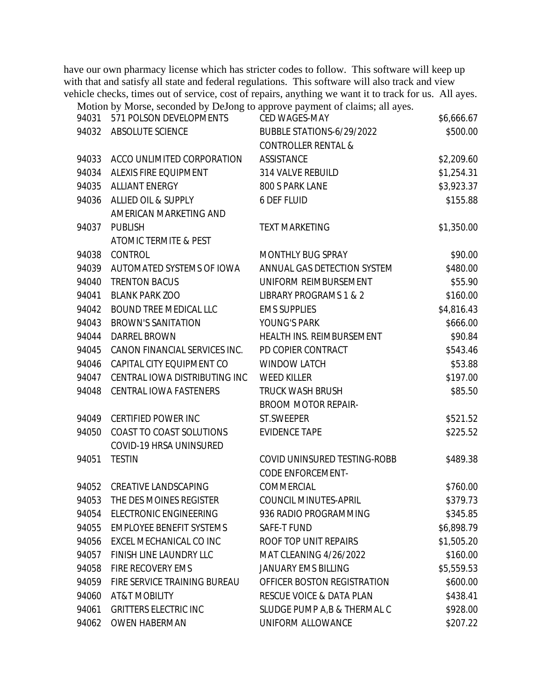have our own pharmacy license which has stricter codes to follow. This software will keep up with that and satisfy all state and federal regulations. This software will also track and view vehicle checks, times out of service, cost of repairs, anything we want it to track for us. All ayes.

Motion by Morse, seconded by DeJong to approve payment of claims; all ayes.

| 94031 | 571 POLSON DEVELOPMENTS         | CED WAGES-MAY                       | \$6,666.67 |
|-------|---------------------------------|-------------------------------------|------------|
| 94032 | ABSOLUTE SCIENCE                | BUBBLE STATIONS-6/29/2022           | \$500.00   |
|       |                                 | <b>CONTROLLER RENTAL &amp;</b>      |            |
| 94033 | ACCO UNLIMITED CORPORATION      | <b>ASSISTANCE</b>                   | \$2,209.60 |
| 94034 | ALEXIS FIRE EQUIPMENT           | 314 VALVE REBUILD                   | \$1,254.31 |
| 94035 | <b>ALLIANT ENERGY</b>           | 800 S PARK LANE                     | \$3,923.37 |
| 94036 | ALLIED OIL & SUPPLY             | 6 DEF FLUID                         | \$155.88   |
|       | AMERICAN MARKETING AND          |                                     |            |
| 94037 | <b>PUBLISH</b>                  | <b>TEXT MARKETING</b>               | \$1,350.00 |
|       | ATOMIC TERMITE & PEST           |                                     |            |
| 94038 | CONTROL                         | MONTHLY BUG SPRAY                   | \$90.00    |
| 94039 | AUTOMATED SYSTEMS OF IOWA       | ANNUAL GAS DETECTION SYSTEM         | \$480.00   |
| 94040 | <b>TRENTON BACUS</b>            | UNIFORM REIMBURSEMENT               | \$55.90    |
| 94041 | <b>BLANK PARK ZOO</b>           | LIBRARY PROGRAMS 1 & 2              | \$160.00   |
| 94042 | <b>BOUND TREE MEDICAL LLC</b>   | <b>EMS SUPPLIES</b>                 | \$4,816.43 |
| 94043 | <b>BROWN'S SANITATION</b>       | YOUNG'S PARK                        | \$666.00   |
| 94044 | <b>DARREL BROWN</b>             | HEALTH INS. REIMBURSEMENT           | \$90.84    |
| 94045 | CANON FINANCIAL SERVICES INC.   | PD COPIER CONTRACT                  | \$543.46   |
| 94046 | CAPITAL CITY EQUIPMENT CO       | <b>WINDOW LATCH</b>                 | \$53.88    |
| 94047 | CENTRAL IOWA DISTRIBUTING INC   | <b>WEED KILLER</b>                  | \$197.00   |
| 94048 | CENTRAL IOWA FASTENERS          | <b>TRUCK WASH BRUSH</b>             | \$85.50    |
|       |                                 | <b>BROOM MOTOR REPAIR-</b>          |            |
| 94049 | <b>CERTIFIED POWER INC</b>      | ST.SWEEPER                          | \$521.52   |
| 94050 | COAST TO COAST SOLUTIONS        | <b>EVIDENCE TAPE</b>                | \$225.52   |
|       | COVID-19 HRSA UNINSURED         |                                     |            |
| 94051 | <b>TESTIN</b>                   | COVID UNINSURED TESTING-ROBB        | \$489.38   |
|       |                                 | <b>CODE ENFORCEMENT-</b>            |            |
| 94052 | <b>CREATIVE LANDSCAPING</b>     | COMMERCIAL                          | \$760.00   |
| 94053 | THE DES MOINES REGISTER         | COUNCIL MINUTES-APRIL               | \$379.73   |
| 94054 | <b>ELECTRONIC ENGINEERING</b>   | 936 RADIO PROGRAMMING               | \$345.85   |
| 94055 | <b>EMPLOYEE BENEFIT SYSTEMS</b> | SAFE-T FUND                         | \$6,898.79 |
| 94056 | EXCEL MECHANICAL CO INC         | ROOF TOP UNIT REPAIRS               | \$1,505.20 |
| 94057 | FINISH LINE LAUNDRY LLC         | MAT CLEANING 4/26/2022              | \$160.00   |
| 94058 | FIRE RECOVERY EMS               | <b>JANUARY EMS BILLING</b>          | \$5,559.53 |
| 94059 | FIRE SERVICE TRAINING BUREAU    | OFFICER BOSTON REGISTRATION         | \$600.00   |
| 94060 | AT&T MOBILITY                   | <b>RESCUE VOICE &amp; DATA PLAN</b> | \$438.41   |
| 94061 | <b>GRITTERS ELECTRIC INC</b>    | SLUDGE PUMP A, B & THERMAL C        | \$928.00   |
| 94062 | <b>OWEN HABERMAN</b>            | UNIFORM ALLOWANCE                   | \$207.22   |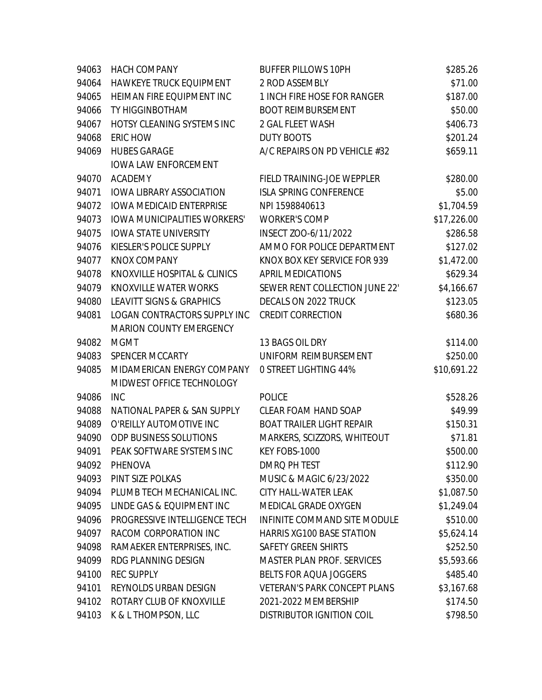| 94063 | <b>HACH COMPANY</b>                 | <b>BUFFER PILLOWS 10PH</b>          | \$285.26    |
|-------|-------------------------------------|-------------------------------------|-------------|
| 94064 | HAWKEYE TRUCK EQUIPMENT             | 2 ROD ASSEMBLY                      | \$71.00     |
| 94065 | HEIMAN FIRE EQUIPMENT INC           | 1 INCH FIRE HOSE FOR RANGER         | \$187.00    |
| 94066 | TY HIGGINBOTHAM                     | <b>BOOT REIMBURSEMENT</b>           | \$50.00     |
| 94067 | HOTSY CLEANING SYSTEMS INC          | 2 GAL FLEET WASH                    | \$406.73    |
| 94068 | ERIC HOW                            | <b>DUTY BOOTS</b>                   | \$201.24    |
| 94069 | <b>HUBES GARAGE</b>                 | A/C REPAIRS ON PD VEHICLE #32       | \$659.11    |
|       | <b>IOWA LAW ENFORCEMENT</b>         |                                     |             |
| 94070 | <b>ACADEMY</b>                      | FIELD TRAINING-JOE WEPPLER          | \$280.00    |
| 94071 | <b>IOWA LIBRARY ASSOCIATION</b>     | <b>ISLA SPRING CONFERENCE</b>       | \$5.00      |
| 94072 | <b>IOWA MEDICAID ENTERPRISE</b>     | NPI 1598840613                      | \$1,704.59  |
| 94073 | <b>IOWA MUNICIPALITIES WORKERS'</b> | <b>WORKER'S COMP</b>                | \$17,226.00 |
| 94075 | <b>IOWA STATE UNIVERSITY</b>        | INSECT ZOO-6/11/2022                | \$286.58    |
| 94076 | KIESLER'S POLICE SUPPLY             | AMMO FOR POLICE DEPARTMENT          | \$127.02    |
| 94077 | <b>KNOX COMPANY</b>                 | KNOX BOX KEY SERVICE FOR 939        | \$1,472.00  |
| 94078 | KNOXVILLE HOSPITAL & CLINICS        | <b>APRIL MEDICATIONS</b>            | \$629.34    |
| 94079 | KNOXVILLE WATER WORKS               | SEWER RENT COLLECTION JUNE 22'      | \$4,166.67  |
| 94080 | <b>LEAVITT SIGNS &amp; GRAPHICS</b> | DECALS ON 2022 TRUCK                | \$123.05    |
| 94081 | LOGAN CONTRACTORS SUPPLY INC        | <b>CREDIT CORRECTION</b>            | \$680.36    |
|       | MARION COUNTY EMERGENCY             |                                     |             |
| 94082 | <b>MGMT</b>                         | 13 BAGS OIL DRY                     | \$114.00    |
| 94083 | SPENCER MCCARTY                     | UNIFORM REIMBURSEMENT               | \$250.00    |
| 94085 | MIDAMERICAN ENERGY COMPANY          | <b>0 STREET LIGHTING 44%</b>        | \$10,691.22 |
|       | MIDWEST OFFICE TECHNOLOGY           |                                     |             |
| 94086 | <b>INC</b>                          | <b>POLICE</b>                       | \$528.26    |
| 94088 | NATIONAL PAPER & SAN SUPPLY         | CLEAR FOAM HAND SOAP                | \$49.99     |
| 94089 | O'REILLY AUTOMOTIVE INC             | <b>BOAT TRAILER LIGHT REPAIR</b>    | \$150.31    |
| 94090 | ODP BUSINESS SOLUTIONS              | MARKERS, SCIZZORS, WHITEOUT         | \$71.81     |
| 94091 | PEAK SOFTWARE SYSTEMS INC           | KEY FOBS-1000                       | \$500.00    |
| 94092 | PHENOVA                             | DMRQ PH TEST                        | \$112.90    |
| 94093 | PINT SIZE POLKAS                    | MUSIC & MAGIC 6/23/2022             | \$350.00    |
| 94094 | PLUMB TECH MECHANICAL INC.          | CITY HALL-WATER LEAK                | \$1,087.50  |
| 94095 | LINDE GAS & EQUIPMENT INC           | MEDICAL GRADE OXYGEN                | \$1,249.04  |
| 94096 | PROGRESSIVE INTELLIGENCE TECH       | INFINITE COMMAND SITE MODULE        | \$510.00    |
| 94097 | RACOM CORPORATION INC               | <b>HARRIS XG100 BASE STATION</b>    | \$5,624.14  |
| 94098 | RAMAEKER ENTERPRISES, INC.          | <b>SAFETY GREEN SHIRTS</b>          | \$252.50    |
| 94099 | RDG PLANNING DESIGN                 | <b>MASTER PLAN PROF. SERVICES</b>   | \$5,593.66  |
| 94100 | <b>REC SUPPLY</b>                   | <b>BELTS FOR AQUA JOGGERS</b>       | \$485.40    |
| 94101 | REYNOLDS URBAN DESIGN               | <b>VETERAN'S PARK CONCEPT PLANS</b> | \$3,167.68  |
| 94102 | ROTARY CLUB OF KNOXVILLE            | 2021-2022 MEMBERSHIP                | \$174.50    |
| 94103 | K & L THOMPSON, LLC                 | DISTRIBUTOR IGNITION COIL           | \$798.50    |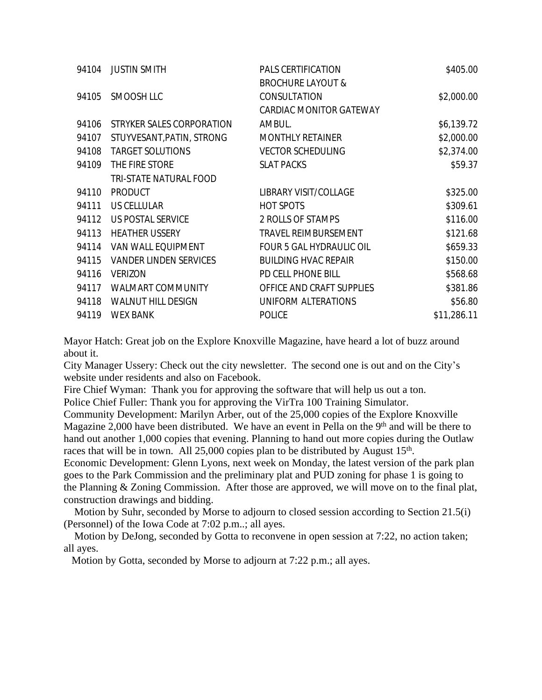| 94104 | <b>JUSTIN SMITH</b>           | PALS CERTIFICATION              | \$405.00    |
|-------|-------------------------------|---------------------------------|-------------|
|       |                               | <b>BROCHURE LAYOUT &amp;</b>    |             |
| 94105 | SMOOSH LLC                    | CONSULTATION                    | \$2,000.00  |
|       |                               | CARDIAC MONITOR GATEWAY         |             |
| 94106 | STRYKER SALES CORPORATION     | AMBUL.                          | \$6,139.72  |
| 94107 | STUYVESANT, PATIN, STRONG     | <b>MONTHLY RETAINER</b>         | \$2,000.00  |
| 94108 | <b>TARGET SOLUTIONS</b>       | <b>VECTOR SCHEDULING</b>        | \$2,374.00  |
| 94109 | THE FIRE STORE                | <b>SLAT PACKS</b>               | \$59.37     |
|       | TRI-STATE NATURAL FOOD        |                                 |             |
| 94110 | <b>PRODUCT</b>                | LIBRARY VISIT/COLLAGE           | \$325.00    |
| 94111 | US CELLULAR                   | <b>HOT SPOTS</b>                | \$309.61    |
| 94112 | US POSTAL SERVICE             | 2 ROLLS OF STAMPS               | \$116.00    |
| 94113 | <b>HEATHER USSERY</b>         | TRAVEL REIMBURSEMENT            | \$121.68    |
| 94114 | VAN WALL EQUIPMENT            | <b>FOUR 5 GAL HYDRAULIC OIL</b> | \$659.33    |
| 94115 | <b>VANDER LINDEN SERVICES</b> | <b>BUILDING HVAC REPAIR</b>     | \$150.00    |
| 94116 | <b>VERIZON</b>                | PD CELL PHONE BILL              | \$568.68    |
| 94117 | WALMART COMMUNITY             | OFFICE AND CRAFT SUPPLIES       | \$381.86    |
| 94118 | <b>WALNUT HILL DESIGN</b>     | UNIFORM ALTERATIONS             | \$56.80     |
| 94119 | <b>WEX BANK</b>               | <b>POLICE</b>                   | \$11,286.11 |
|       |                               |                                 |             |

Mayor Hatch: Great job on the Explore Knoxville Magazine, have heard a lot of buzz around about it.

City Manager Ussery: Check out the city newsletter. The second one is out and on the City's website under residents and also on Facebook.

Fire Chief Wyman: Thank you for approving the software that will help us out a ton.

Police Chief Fuller: Thank you for approving the VirTra 100 Training Simulator.

Community Development: Marilyn Arber, out of the 25,000 copies of the Explore Knoxville Magazine 2,000 have been distributed. We have an event in Pella on the  $9<sup>th</sup>$  and will be there to hand out another 1,000 copies that evening. Planning to hand out more copies during the Outlaw races that will be in town. All 25,000 copies plan to be distributed by August 15<sup>th</sup>.

Economic Development: Glenn Lyons, next week on Monday, the latest version of the park plan goes to the Park Commission and the preliminary plat and PUD zoning for phase 1 is going to the Planning & Zoning Commission. After those are approved, we will move on to the final plat, construction drawings and bidding.

 Motion by Suhr, seconded by Morse to adjourn to closed session according to Section 21.5(i) (Personnel) of the Iowa Code at 7:02 p.m..; all ayes.

 Motion by DeJong, seconded by Gotta to reconvene in open session at 7:22, no action taken; all ayes.

Motion by Gotta, seconded by Morse to adjourn at 7:22 p.m.; all ayes.